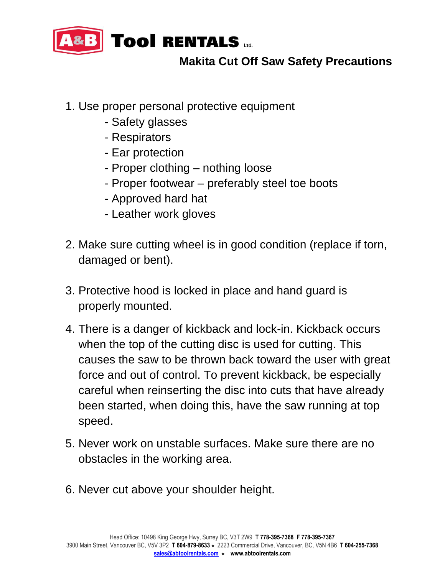

## **Makita Cut Off Saw Safety Precautions**

- 1. Use proper personal protective equipment
	- Safety glasses
	- Respirators
	- Ear protection
	- Proper clothing nothing loose
	- Proper footwear preferably steel toe boots
	- Approved hard hat
	- Leather work gloves
- 2. Make sure cutting wheel is in good condition (replace if torn, damaged or bent).
- 3. Protective hood is locked in place and hand guard is properly mounted.
- 4. There is a danger of kickback and lock-in. Kickback occurs when the top of the cutting disc is used for cutting. This causes the saw to be thrown back toward the user with great force and out of control. To prevent kickback, be especially careful when reinserting the disc into cuts that have already been started, when doing this, have the saw running at top speed.
- 5. Never work on unstable surfaces. Make sure there are no obstacles in the working area.
- 6. Never cut above your shoulder height.